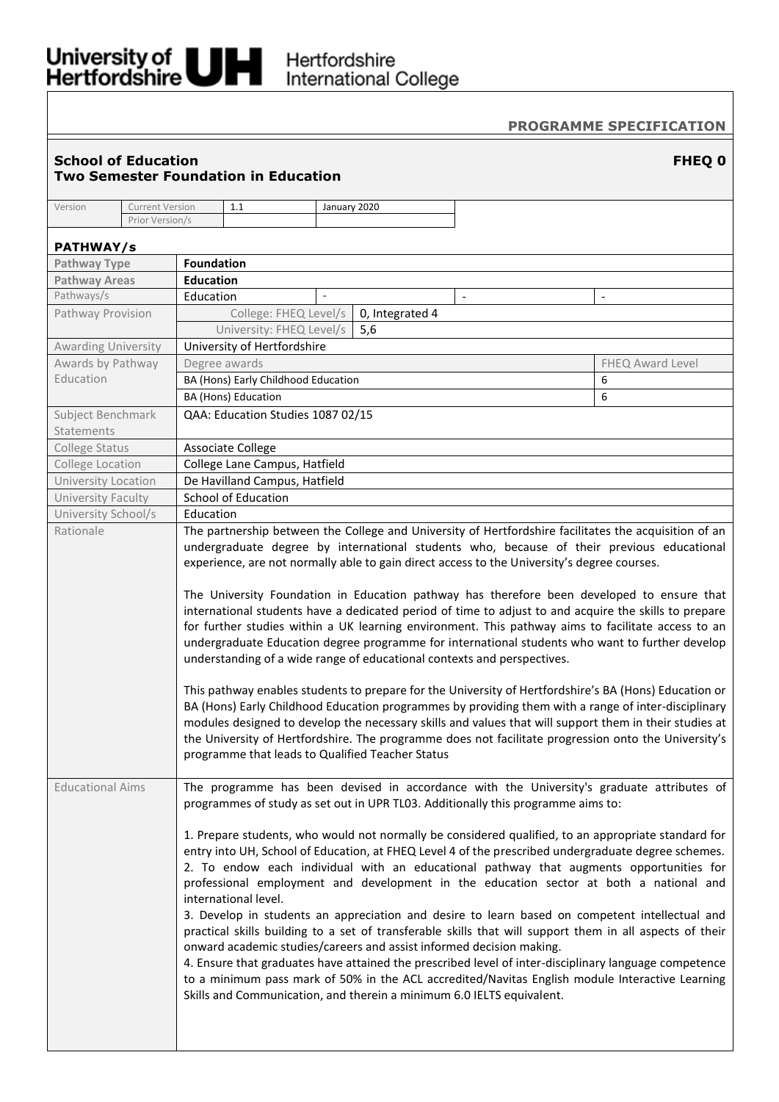# University of Hertfordshire<br>Hertfordshire International College

# **PROGRAMME SPECIFICATION**

## **School of Education FHEQ 0 Two Semester Foundation in Education**

| Version                 | <b>Current Version</b>                           |                                                                                                                                                                                   | 1.1                                                                                                   |        | January 2020                                                          |                |  |                                                                                                       |  |  |
|-------------------------|--------------------------------------------------|-----------------------------------------------------------------------------------------------------------------------------------------------------------------------------------|-------------------------------------------------------------------------------------------------------|--------|-----------------------------------------------------------------------|----------------|--|-------------------------------------------------------------------------------------------------------|--|--|
|                         | Prior Version/s                                  |                                                                                                                                                                                   |                                                                                                       |        |                                                                       |                |  |                                                                                                       |  |  |
| <b>PATHWAY/s</b>        |                                                  |                                                                                                                                                                                   |                                                                                                       |        |                                                                       |                |  |                                                                                                       |  |  |
| Pathway Type            |                                                  | <b>Foundation</b>                                                                                                                                                                 |                                                                                                       |        |                                                                       |                |  |                                                                                                       |  |  |
| <b>Pathway Areas</b>    |                                                  | <b>Education</b>                                                                                                                                                                  |                                                                                                       |        |                                                                       |                |  |                                                                                                       |  |  |
| Pathways/s              |                                                  | Education                                                                                                                                                                         |                                                                                                       | $\sim$ |                                                                       | $\blacksquare$ |  | $\overline{\phantom{a}}$                                                                              |  |  |
| Pathway Provision       |                                                  |                                                                                                                                                                                   | College: FHEQ Level/s                                                                                 |        | 0, Integrated 4                                                       |                |  |                                                                                                       |  |  |
|                         |                                                  |                                                                                                                                                                                   | University: FHEQ Level/s                                                                              |        | 5,6                                                                   |                |  |                                                                                                       |  |  |
| Awarding University     |                                                  |                                                                                                                                                                                   | University of Hertfordshire                                                                           |        |                                                                       |                |  |                                                                                                       |  |  |
| Awards by Pathway       |                                                  |                                                                                                                                                                                   | Degree awards                                                                                         |        |                                                                       |                |  | FHEQ Award Level                                                                                      |  |  |
| Education               |                                                  |                                                                                                                                                                                   | BA (Hons) Early Childhood Education                                                                   |        |                                                                       |                |  | 6                                                                                                     |  |  |
|                         |                                                  |                                                                                                                                                                                   | BA (Hons) Education                                                                                   |        |                                                                       |                |  | 6                                                                                                     |  |  |
| Subject Benchmark       |                                                  |                                                                                                                                                                                   | QAA: Education Studies 1087 02/15                                                                     |        |                                                                       |                |  |                                                                                                       |  |  |
| Statements              |                                                  |                                                                                                                                                                                   |                                                                                                       |        |                                                                       |                |  |                                                                                                       |  |  |
| College Status          |                                                  |                                                                                                                                                                                   | <b>Associate College</b>                                                                              |        |                                                                       |                |  |                                                                                                       |  |  |
| College Location        |                                                  |                                                                                                                                                                                   | College Lane Campus, Hatfield                                                                         |        |                                                                       |                |  |                                                                                                       |  |  |
| University Location     |                                                  |                                                                                                                                                                                   | De Havilland Campus, Hatfield                                                                         |        |                                                                       |                |  |                                                                                                       |  |  |
| University Faculty      |                                                  |                                                                                                                                                                                   | <b>School of Education</b>                                                                            |        |                                                                       |                |  |                                                                                                       |  |  |
| University School/s     |                                                  | Education                                                                                                                                                                         |                                                                                                       |        |                                                                       |                |  |                                                                                                       |  |  |
| Rationale               |                                                  |                                                                                                                                                                                   |                                                                                                       |        |                                                                       |                |  | The partnership between the College and University of Hertfordshire facilitates the acquisition of an |  |  |
|                         |                                                  | undergraduate degree by international students who, because of their previous educational                                                                                         |                                                                                                       |        |                                                                       |                |  |                                                                                                       |  |  |
|                         |                                                  | experience, are not normally able to gain direct access to the University's degree courses.                                                                                       |                                                                                                       |        |                                                                       |                |  |                                                                                                       |  |  |
|                         |                                                  | The University Foundation in Education pathway has therefore been developed to ensure that                                                                                        |                                                                                                       |        |                                                                       |                |  |                                                                                                       |  |  |
|                         |                                                  | international students have a dedicated period of time to adjust to and acquire the skills to prepare                                                                             |                                                                                                       |        |                                                                       |                |  |                                                                                                       |  |  |
|                         |                                                  | for further studies within a UK learning environment. This pathway aims to facilitate access to an                                                                                |                                                                                                       |        |                                                                       |                |  |                                                                                                       |  |  |
|                         |                                                  | undergraduate Education degree programme for international students who want to further develop                                                                                   |                                                                                                       |        |                                                                       |                |  |                                                                                                       |  |  |
|                         |                                                  | understanding of a wide range of educational contexts and perspectives.                                                                                                           |                                                                                                       |        |                                                                       |                |  |                                                                                                       |  |  |
|                         |                                                  |                                                                                                                                                                                   |                                                                                                       |        |                                                                       |                |  |                                                                                                       |  |  |
|                         |                                                  | This pathway enables students to prepare for the University of Hertfordshire's BA (Hons) Education or                                                                             |                                                                                                       |        |                                                                       |                |  |                                                                                                       |  |  |
|                         |                                                  | BA (Hons) Early Childhood Education programmes by providing them with a range of inter-disciplinary                                                                               |                                                                                                       |        |                                                                       |                |  |                                                                                                       |  |  |
|                         |                                                  | modules designed to develop the necessary skills and values that will support them in their studies at                                                                            |                                                                                                       |        |                                                                       |                |  |                                                                                                       |  |  |
|                         |                                                  | the University of Hertfordshire. The programme does not facilitate progression onto the University's                                                                              |                                                                                                       |        |                                                                       |                |  |                                                                                                       |  |  |
|                         | programme that leads to Qualified Teacher Status |                                                                                                                                                                                   |                                                                                                       |        |                                                                       |                |  |                                                                                                       |  |  |
|                         |                                                  |                                                                                                                                                                                   |                                                                                                       |        |                                                                       |                |  |                                                                                                       |  |  |
| <b>Educational Aims</b> |                                                  |                                                                                                                                                                                   |                                                                                                       |        |                                                                       |                |  | The programme has been devised in accordance with the University's graduate attributes of             |  |  |
|                         |                                                  | programmes of study as set out in UPR TL03. Additionally this programme aims to:                                                                                                  |                                                                                                       |        |                                                                       |                |  |                                                                                                       |  |  |
|                         |                                                  |                                                                                                                                                                                   |                                                                                                       |        |                                                                       |                |  |                                                                                                       |  |  |
|                         |                                                  | 1. Prepare students, who would not normally be considered qualified, to an appropriate standard for                                                                               |                                                                                                       |        |                                                                       |                |  |                                                                                                       |  |  |
|                         |                                                  | entry into UH, School of Education, at FHEQ Level 4 of the prescribed undergraduate degree schemes.                                                                               |                                                                                                       |        |                                                                       |                |  |                                                                                                       |  |  |
|                         |                                                  | 2. To endow each individual with an educational pathway that augments opportunities for<br>professional employment and development in the education sector at both a national and |                                                                                                       |        |                                                                       |                |  |                                                                                                       |  |  |
|                         |                                                  | international level.                                                                                                                                                              |                                                                                                       |        |                                                                       |                |  |                                                                                                       |  |  |
|                         |                                                  | 3. Develop in students an appreciation and desire to learn based on competent intellectual and                                                                                    |                                                                                                       |        |                                                                       |                |  |                                                                                                       |  |  |
|                         |                                                  | practical skills building to a set of transferable skills that will support them in all aspects of their                                                                          |                                                                                                       |        |                                                                       |                |  |                                                                                                       |  |  |
|                         |                                                  | onward academic studies/careers and assist informed decision making.                                                                                                              |                                                                                                       |        |                                                                       |                |  |                                                                                                       |  |  |
|                         |                                                  |                                                                                                                                                                                   | 4. Ensure that graduates have attained the prescribed level of inter-disciplinary language competence |        |                                                                       |                |  |                                                                                                       |  |  |
|                         |                                                  |                                                                                                                                                                                   |                                                                                                       |        |                                                                       |                |  | to a minimum pass mark of 50% in the ACL accredited/Navitas English module Interactive Learning       |  |  |
|                         |                                                  |                                                                                                                                                                                   |                                                                                                       |        | Skills and Communication, and therein a minimum 6.0 IELTS equivalent. |                |  |                                                                                                       |  |  |
|                         |                                                  |                                                                                                                                                                                   |                                                                                                       |        |                                                                       |                |  |                                                                                                       |  |  |
|                         |                                                  |                                                                                                                                                                                   |                                                                                                       |        |                                                                       |                |  |                                                                                                       |  |  |
|                         |                                                  |                                                                                                                                                                                   |                                                                                                       |        |                                                                       |                |  |                                                                                                       |  |  |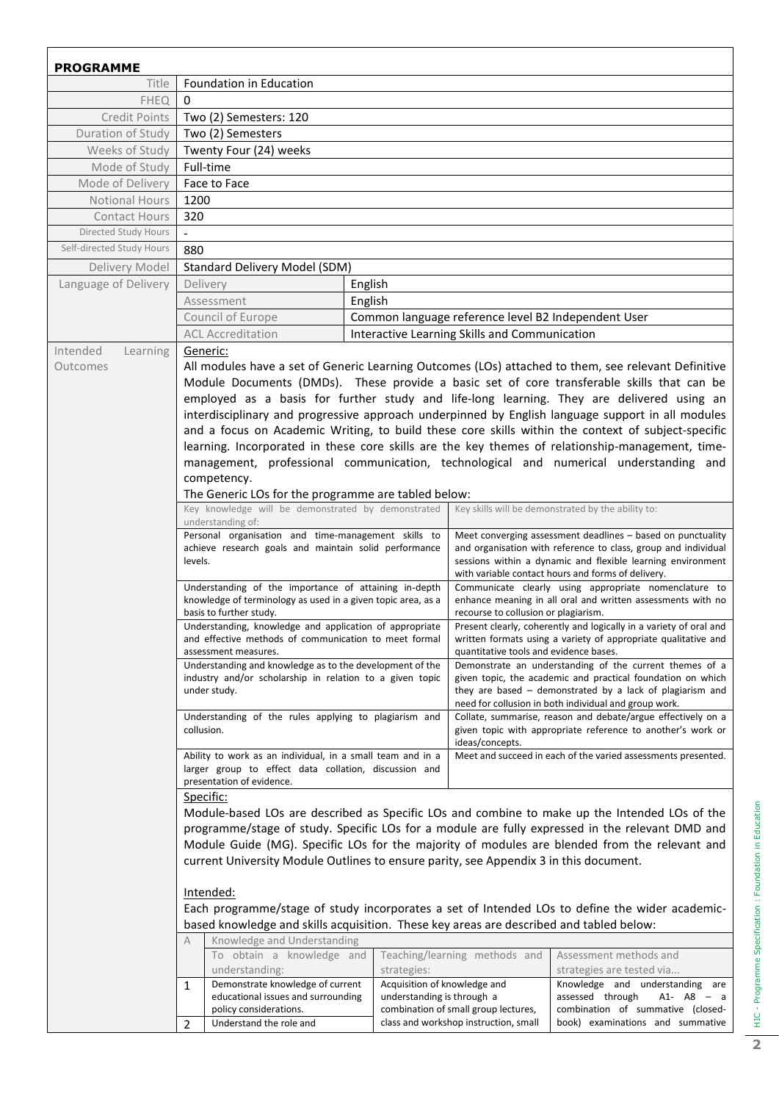| <b>PROGRAMME</b>          |                                                                                                                                                                                                    |                              |                                                                                                          |                                                                                                                               |  |  |  |  |
|---------------------------|----------------------------------------------------------------------------------------------------------------------------------------------------------------------------------------------------|------------------------------|----------------------------------------------------------------------------------------------------------|-------------------------------------------------------------------------------------------------------------------------------|--|--|--|--|
| Title                     | Foundation in Education                                                                                                                                                                            |                              |                                                                                                          |                                                                                                                               |  |  |  |  |
| <b>FHEQ</b>               | 0                                                                                                                                                                                                  |                              |                                                                                                          |                                                                                                                               |  |  |  |  |
| Credit Points             | Two (2) Semesters: 120                                                                                                                                                                             |                              |                                                                                                          |                                                                                                                               |  |  |  |  |
| Duration of Study         | Two (2) Semesters                                                                                                                                                                                  |                              |                                                                                                          |                                                                                                                               |  |  |  |  |
| Weeks of Study            | Twenty Four (24) weeks                                                                                                                                                                             |                              |                                                                                                          |                                                                                                                               |  |  |  |  |
| Mode of Study             | Full-time                                                                                                                                                                                          |                              |                                                                                                          |                                                                                                                               |  |  |  |  |
| Mode of Delivery          | Face to Face                                                                                                                                                                                       |                              |                                                                                                          |                                                                                                                               |  |  |  |  |
| Notional Hours            | 1200                                                                                                                                                                                               |                              |                                                                                                          |                                                                                                                               |  |  |  |  |
| <b>Contact Hours</b>      | 320                                                                                                                                                                                                |                              |                                                                                                          |                                                                                                                               |  |  |  |  |
| Directed Study Hours      |                                                                                                                                                                                                    |                              |                                                                                                          |                                                                                                                               |  |  |  |  |
| Self-directed Study Hours | 880                                                                                                                                                                                                |                              |                                                                                                          |                                                                                                                               |  |  |  |  |
| Delivery Model            | Standard Delivery Model (SDM)                                                                                                                                                                      |                              |                                                                                                          |                                                                                                                               |  |  |  |  |
| Language of Delivery      | Delivery                                                                                                                                                                                           | English                      |                                                                                                          |                                                                                                                               |  |  |  |  |
|                           | Assessment                                                                                                                                                                                         | English                      |                                                                                                          |                                                                                                                               |  |  |  |  |
|                           | Council of Europe                                                                                                                                                                                  |                              | Common language reference level B2 Independent User                                                      |                                                                                                                               |  |  |  |  |
|                           | <b>ACL Accreditation</b>                                                                                                                                                                           |                              | Interactive Learning Skills and Communication                                                            |                                                                                                                               |  |  |  |  |
| Intended<br>Learning      | Generic:                                                                                                                                                                                           |                              |                                                                                                          |                                                                                                                               |  |  |  |  |
| Outcomes                  |                                                                                                                                                                                                    |                              |                                                                                                          | All modules have a set of Generic Learning Outcomes (LOs) attached to them, see relevant Definitive                           |  |  |  |  |
|                           |                                                                                                                                                                                                    |                              |                                                                                                          | Module Documents (DMDs). These provide a basic set of core transferable skills that can be                                    |  |  |  |  |
|                           |                                                                                                                                                                                                    |                              |                                                                                                          | employed as a basis for further study and life-long learning. They are delivered using an                                     |  |  |  |  |
|                           |                                                                                                                                                                                                    |                              |                                                                                                          | interdisciplinary and progressive approach underpinned by English language support in all modules                             |  |  |  |  |
|                           |                                                                                                                                                                                                    |                              |                                                                                                          | and a focus on Academic Writing, to build these core skills within the context of subject-specific                            |  |  |  |  |
|                           |                                                                                                                                                                                                    |                              |                                                                                                          | learning. Incorporated in these core skills are the key themes of relationship-management, time-                              |  |  |  |  |
|                           |                                                                                                                                                                                                    |                              |                                                                                                          | management, professional communication, technological and numerical understanding and                                         |  |  |  |  |
|                           | competency.                                                                                                                                                                                        |                              |                                                                                                          |                                                                                                                               |  |  |  |  |
|                           | The Generic LOs for the programme are tabled below:                                                                                                                                                |                              |                                                                                                          |                                                                                                                               |  |  |  |  |
|                           | Key knowledge will be demonstrated by demonstrated                                                                                                                                                 |                              |                                                                                                          | Key skills will be demonstrated by the ability to:                                                                            |  |  |  |  |
|                           | understanding of:                                                                                                                                                                                  |                              |                                                                                                          |                                                                                                                               |  |  |  |  |
|                           | Personal organisation and time-management skills to<br>achieve research goals and maintain solid performance                                                                                       |                              |                                                                                                          | Meet converging assessment deadlines - based on punctuality<br>and organisation with reference to class, group and individual |  |  |  |  |
|                           | levels.                                                                                                                                                                                            |                              |                                                                                                          | sessions within a dynamic and flexible learning environment                                                                   |  |  |  |  |
|                           | with variable contact hours and forms of delivery.                                                                                                                                                 |                              |                                                                                                          |                                                                                                                               |  |  |  |  |
|                           | Understanding of the importance of attaining in-depth<br>Communicate clearly using appropriate nomenclature to                                                                                     |                              |                                                                                                          |                                                                                                                               |  |  |  |  |
|                           | knowledge of terminology as used in a given topic area, as a<br>enhance meaning in all oral and written assessments with no<br>basis to further study.<br>recourse to collusion or plagiarism.     |                              |                                                                                                          |                                                                                                                               |  |  |  |  |
|                           | Understanding, knowledge and application of appropriate<br>Present clearly, coherently and logically in a variety of oral and                                                                      |                              |                                                                                                          |                                                                                                                               |  |  |  |  |
|                           | and effective methods of communication to meet formal                                                                                                                                              |                              | written formats using a variety of appropriate qualitative and<br>quantitative tools and evidence bases. |                                                                                                                               |  |  |  |  |
|                           | assessment measures.<br>Understanding and knowledge as to the development of the                                                                                                                   |                              |                                                                                                          | Demonstrate an understanding of the current themes of a                                                                       |  |  |  |  |
|                           | industry and/or scholarship in relation to a given topic                                                                                                                                           |                              |                                                                                                          | given topic, the academic and practical foundation on which                                                                   |  |  |  |  |
|                           | under study.                                                                                                                                                                                       |                              |                                                                                                          | they are based - demonstrated by a lack of plagiarism and                                                                     |  |  |  |  |
|                           | need for collusion in both individual and group work.                                                                                                                                              |                              |                                                                                                          |                                                                                                                               |  |  |  |  |
|                           | Understanding of the rules applying to plagiarism and<br>Collate, summarise, reason and debate/argue effectively on a<br>given topic with appropriate reference to another's work or<br>collusion. |                              |                                                                                                          |                                                                                                                               |  |  |  |  |
|                           |                                                                                                                                                                                                    |                              | ideas/concepts.                                                                                          |                                                                                                                               |  |  |  |  |
|                           | Ability to work as an individual, in a small team and in a<br>Meet and succeed in each of the varied assessments presented.                                                                        |                              |                                                                                                          |                                                                                                                               |  |  |  |  |
|                           | larger group to effect data collation, discussion and                                                                                                                                              |                              |                                                                                                          |                                                                                                                               |  |  |  |  |
|                           | presentation of evidence.                                                                                                                                                                          |                              |                                                                                                          |                                                                                                                               |  |  |  |  |
|                           | Specific:                                                                                                                                                                                          |                              |                                                                                                          |                                                                                                                               |  |  |  |  |
|                           | Module-based LOs are described as Specific LOs and combine to make up the Intended LOs of the                                                                                                      |                              |                                                                                                          |                                                                                                                               |  |  |  |  |
|                           | programme/stage of study. Specific LOs for a module are fully expressed in the relevant DMD and<br>Module Guide (MG). Specific LOs for the majority of modules are blended from the relevant and   |                              |                                                                                                          |                                                                                                                               |  |  |  |  |
|                           | current University Module Outlines to ensure parity, see Appendix 3 in this document.                                                                                                              |                              |                                                                                                          |                                                                                                                               |  |  |  |  |
|                           |                                                                                                                                                                                                    |                              |                                                                                                          |                                                                                                                               |  |  |  |  |
|                           | <u>Intended:</u>                                                                                                                                                                                   |                              |                                                                                                          |                                                                                                                               |  |  |  |  |
|                           | Each programme/stage of study incorporates a set of Intended LOs to define the wider academic-                                                                                                     |                              |                                                                                                          |                                                                                                                               |  |  |  |  |
|                           | based knowledge and skills acquisition. These key areas are described and tabled below:                                                                                                            |                              |                                                                                                          |                                                                                                                               |  |  |  |  |
|                           | Knowledge and Understanding<br>А                                                                                                                                                                   |                              |                                                                                                          |                                                                                                                               |  |  |  |  |
|                           | To obtain a knowledge and                                                                                                                                                                          |                              | Teaching/learning methods and                                                                            | Assessment methods and                                                                                                        |  |  |  |  |
|                           | understanding:                                                                                                                                                                                     | strategies:                  |                                                                                                          | strategies are tested via                                                                                                     |  |  |  |  |
|                           | Demonstrate knowledge of current<br>1                                                                                                                                                              | Acquisition of knowledge and |                                                                                                          | Knowledge and understanding are                                                                                               |  |  |  |  |
|                           | educational issues and surrounding                                                                                                                                                                 | understanding is through a   |                                                                                                          | assessed through<br>$A1 - A8 - a$                                                                                             |  |  |  |  |
|                           | policy considerations.<br>Understand the role and<br>2                                                                                                                                             |                              | combination of small group lectures,<br>class and workshop instruction, small                            | combination of summative (closed-<br>book) examinations and summative                                                         |  |  |  |  |
|                           |                                                                                                                                                                                                    |                              |                                                                                                          |                                                                                                                               |  |  |  |  |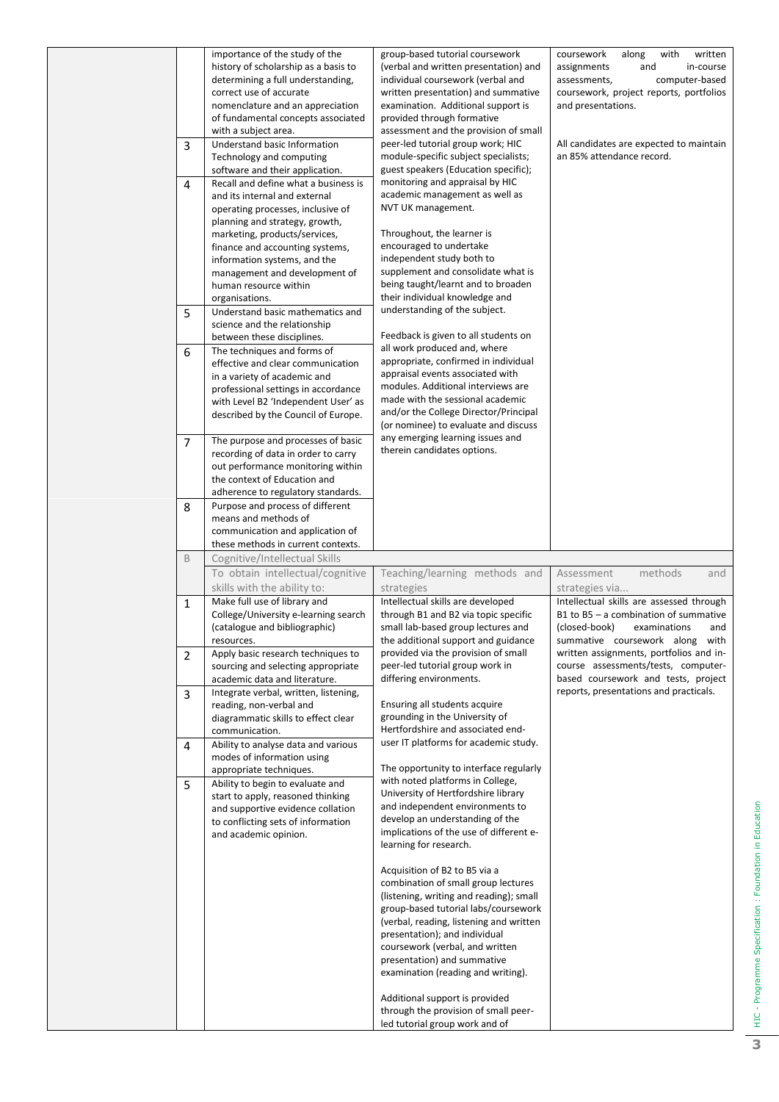| 3<br>4<br>5 | importance of the study of the<br>history of scholarship as a basis to<br>determining a full understanding,<br>correct use of accurate<br>nomenclature and an appreciation<br>of fundamental concepts associated<br>with a subject area.<br>Understand basic Information<br>Technology and computing<br>software and their application.<br>Recall and define what a business is<br>and its internal and external<br>operating processes, inclusive of<br>planning and strategy, growth,<br>marketing, products/services,<br>finance and accounting systems,<br>information systems, and the<br>management and development of<br>human resource within<br>organisations.<br>Understand basic mathematics and | group-based tutorial coursework<br>(verbal and written presentation) and<br>individual coursework (verbal and<br>written presentation) and summative<br>examination. Additional support is<br>provided through formative<br>assessment and the provision of small<br>peer-led tutorial group work; HIC<br>module-specific subject specialists;<br>guest speakers (Education specific);<br>monitoring and appraisal by HIC<br>academic management as well as<br>NVT UK management.<br>Throughout, the learner is<br>encouraged to undertake<br>independent study both to<br>supplement and consolidate what is<br>being taught/learnt and to broaden<br>their individual knowledge and<br>understanding of the subject. | coursework<br>along<br>with<br>written<br>and<br>in-course<br>assignments<br>computer-based<br>assessments,<br>coursework, project reports, portfolios<br>and presentations.<br>All candidates are expected to maintain<br>an 85% attendance record. |
|-------------|-------------------------------------------------------------------------------------------------------------------------------------------------------------------------------------------------------------------------------------------------------------------------------------------------------------------------------------------------------------------------------------------------------------------------------------------------------------------------------------------------------------------------------------------------------------------------------------------------------------------------------------------------------------------------------------------------------------|------------------------------------------------------------------------------------------------------------------------------------------------------------------------------------------------------------------------------------------------------------------------------------------------------------------------------------------------------------------------------------------------------------------------------------------------------------------------------------------------------------------------------------------------------------------------------------------------------------------------------------------------------------------------------------------------------------------------|------------------------------------------------------------------------------------------------------------------------------------------------------------------------------------------------------------------------------------------------------|
|             | science and the relationship<br>between these disciplines.                                                                                                                                                                                                                                                                                                                                                                                                                                                                                                                                                                                                                                                  | Feedback is given to all students on                                                                                                                                                                                                                                                                                                                                                                                                                                                                                                                                                                                                                                                                                   |                                                                                                                                                                                                                                                      |
| 6           | The techniques and forms of<br>effective and clear communication<br>in a variety of academic and<br>professional settings in accordance<br>with Level B2 'Independent User' as<br>described by the Council of Europe.                                                                                                                                                                                                                                                                                                                                                                                                                                                                                       | all work produced and, where<br>appropriate, confirmed in individual<br>appraisal events associated with<br>modules. Additional interviews are<br>made with the sessional academic<br>and/or the College Director/Principal<br>(or nominee) to evaluate and discuss                                                                                                                                                                                                                                                                                                                                                                                                                                                    |                                                                                                                                                                                                                                                      |
| 7           | The purpose and processes of basic<br>recording of data in order to carry<br>out performance monitoring within<br>the context of Education and<br>adherence to regulatory standards.                                                                                                                                                                                                                                                                                                                                                                                                                                                                                                                        | any emerging learning issues and<br>therein candidates options.                                                                                                                                                                                                                                                                                                                                                                                                                                                                                                                                                                                                                                                        |                                                                                                                                                                                                                                                      |
| 8           | Purpose and process of different<br>means and methods of<br>communication and application of<br>these methods in current contexts.                                                                                                                                                                                                                                                                                                                                                                                                                                                                                                                                                                          |                                                                                                                                                                                                                                                                                                                                                                                                                                                                                                                                                                                                                                                                                                                        |                                                                                                                                                                                                                                                      |
| B           | Cognitive/Intellectual Skills                                                                                                                                                                                                                                                                                                                                                                                                                                                                                                                                                                                                                                                                               |                                                                                                                                                                                                                                                                                                                                                                                                                                                                                                                                                                                                                                                                                                                        |                                                                                                                                                                                                                                                      |
|             | To obtain intellectual/cognitive<br>skills with the ability to:                                                                                                                                                                                                                                                                                                                                                                                                                                                                                                                                                                                                                                             | Teaching/learning methods and<br>strategies                                                                                                                                                                                                                                                                                                                                                                                                                                                                                                                                                                                                                                                                            | Assessment<br>methods<br>and<br>strategies via                                                                                                                                                                                                       |
| 1           | Make full use of library and<br>College/University e-learning search<br>(catalogue and bibliographic)<br>resources.                                                                                                                                                                                                                                                                                                                                                                                                                                                                                                                                                                                         | Intellectual skills are developed<br>through B1 and B2 via topic specific<br>small lab-based group lectures and<br>the additional support and guidance                                                                                                                                                                                                                                                                                                                                                                                                                                                                                                                                                                 | Intellectual skills are assessed through<br>B1 to $B5 - a$ combination of summative<br>(closed-book)<br>examinations<br>and<br>summative coursework along with                                                                                       |
| 2           | Apply basic research techniques to<br>sourcing and selecting appropriate<br>academic data and literature.                                                                                                                                                                                                                                                                                                                                                                                                                                                                                                                                                                                                   | provided via the provision of small<br>peer-led tutorial group work in<br>differing environments.                                                                                                                                                                                                                                                                                                                                                                                                                                                                                                                                                                                                                      | written assignments, portfolios and in-<br>course assessments/tests, computer-<br>based coursework and tests, project                                                                                                                                |
| 3           | Integrate verbal, written, listening,<br>reading, non-verbal and<br>diagrammatic skills to effect clear<br>communication.                                                                                                                                                                                                                                                                                                                                                                                                                                                                                                                                                                                   | Ensuring all students acquire<br>grounding in the University of<br>Hertfordshire and associated end-                                                                                                                                                                                                                                                                                                                                                                                                                                                                                                                                                                                                                   | reports, presentations and practicals.                                                                                                                                                                                                               |
| 4           | Ability to analyse data and various<br>modes of information using<br>appropriate techniques.                                                                                                                                                                                                                                                                                                                                                                                                                                                                                                                                                                                                                | user IT platforms for academic study.<br>The opportunity to interface regularly                                                                                                                                                                                                                                                                                                                                                                                                                                                                                                                                                                                                                                        |                                                                                                                                                                                                                                                      |
| 5           | Ability to begin to evaluate and<br>start to apply, reasoned thinking<br>and supportive evidence collation<br>to conflicting sets of information<br>and academic opinion.                                                                                                                                                                                                                                                                                                                                                                                                                                                                                                                                   | with noted platforms in College,<br>University of Hertfordshire library<br>and independent environments to<br>develop an understanding of the<br>implications of the use of different e-<br>learning for research.<br>Acquisition of B2 to B5 via a<br>combination of small group lectures<br>(listening, writing and reading); small<br>group-based tutorial labs/coursework<br>(verbal, reading, listening and written<br>presentation); and individual<br>coursework (verbal, and written<br>presentation) and summative<br>examination (reading and writing).<br>Additional support is provided<br>through the provision of small peer-<br>led tutorial group work and of                                          |                                                                                                                                                                                                                                                      |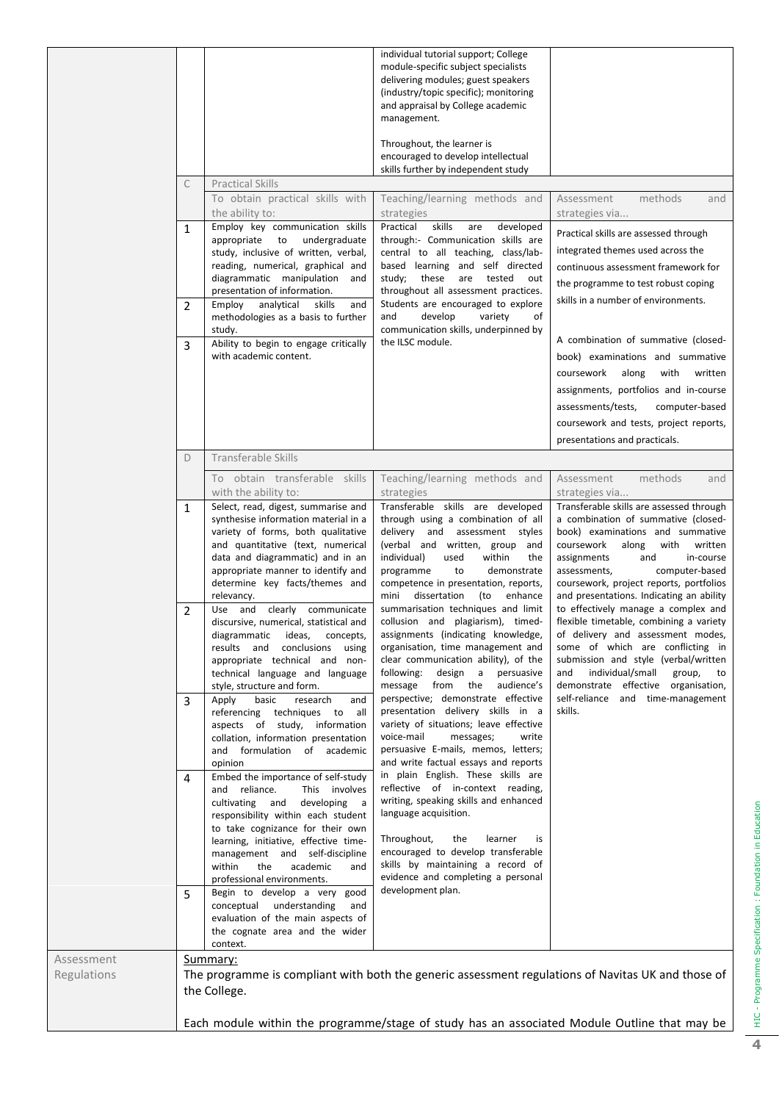|                           |                                    |                                                                                                                                                                                                                                                                                                                                                                                                                                                                                                                                                                                                                                                                                                                                                                                                                                                                                                                                                                                                                                                                                                                                                                                                                                             | individual tutorial support; College<br>module-specific subject specialists<br>delivering modules; guest speakers<br>(industry/topic specific); monitoring<br>and appraisal by College academic<br>management.<br>Throughout, the learner is<br>encouraged to develop intellectual<br>skills further by independent study                                                                                                                                                                                                                                                                                                                                                                                                                                                                                                                                                                                                                                                                                                                                                                                                                           |                                                                                                                                                                                                                                                                                                                                                                                                                                                                                                                                                                                                                                                                               |
|---------------------------|------------------------------------|---------------------------------------------------------------------------------------------------------------------------------------------------------------------------------------------------------------------------------------------------------------------------------------------------------------------------------------------------------------------------------------------------------------------------------------------------------------------------------------------------------------------------------------------------------------------------------------------------------------------------------------------------------------------------------------------------------------------------------------------------------------------------------------------------------------------------------------------------------------------------------------------------------------------------------------------------------------------------------------------------------------------------------------------------------------------------------------------------------------------------------------------------------------------------------------------------------------------------------------------|-----------------------------------------------------------------------------------------------------------------------------------------------------------------------------------------------------------------------------------------------------------------------------------------------------------------------------------------------------------------------------------------------------------------------------------------------------------------------------------------------------------------------------------------------------------------------------------------------------------------------------------------------------------------------------------------------------------------------------------------------------------------------------------------------------------------------------------------------------------------------------------------------------------------------------------------------------------------------------------------------------------------------------------------------------------------------------------------------------------------------------------------------------|-------------------------------------------------------------------------------------------------------------------------------------------------------------------------------------------------------------------------------------------------------------------------------------------------------------------------------------------------------------------------------------------------------------------------------------------------------------------------------------------------------------------------------------------------------------------------------------------------------------------------------------------------------------------------------|
|                           | C                                  | <b>Practical Skills</b><br>To obtain practical skills with<br>the ability to:                                                                                                                                                                                                                                                                                                                                                                                                                                                                                                                                                                                                                                                                                                                                                                                                                                                                                                                                                                                                                                                                                                                                                               | Teaching/learning methods and<br>strategies                                                                                                                                                                                                                                                                                                                                                                                                                                                                                                                                                                                                                                                                                                                                                                                                                                                                                                                                                                                                                                                                                                         | methods<br>Assessment<br>and<br>strategies via                                                                                                                                                                                                                                                                                                                                                                                                                                                                                                                                                                                                                                |
|                           | 1                                  | Employ key communication skills<br>appropriate to undergraduate<br>study, inclusive of written, verbal,<br>reading, numerical, graphical and<br>diagrammatic manipulation<br>and<br>presentation of information.                                                                                                                                                                                                                                                                                                                                                                                                                                                                                                                                                                                                                                                                                                                                                                                                                                                                                                                                                                                                                            | Practical<br>skills<br>developed<br>are<br>through:- Communication skills are<br>central to all teaching, class/lab-<br>based learning and self directed<br>these are tested<br>study:<br>out<br>throughout all assessment practices.                                                                                                                                                                                                                                                                                                                                                                                                                                                                                                                                                                                                                                                                                                                                                                                                                                                                                                               | Practical skills are assessed through<br>integrated themes used across the<br>continuous assessment framework for<br>the programme to test robust coping<br>skills in a number of environments.                                                                                                                                                                                                                                                                                                                                                                                                                                                                               |
|                           | $\overline{2}$                     | Employ analytical<br>skills<br>and<br>methodologies as a basis to further<br>study.                                                                                                                                                                                                                                                                                                                                                                                                                                                                                                                                                                                                                                                                                                                                                                                                                                                                                                                                                                                                                                                                                                                                                         | Students are encouraged to explore<br>and<br>develop<br>variety<br>of<br>communication skills, underpinned by                                                                                                                                                                                                                                                                                                                                                                                                                                                                                                                                                                                                                                                                                                                                                                                                                                                                                                                                                                                                                                       |                                                                                                                                                                                                                                                                                                                                                                                                                                                                                                                                                                                                                                                                               |
|                           | 3                                  | Ability to begin to engage critically<br>with academic content.                                                                                                                                                                                                                                                                                                                                                                                                                                                                                                                                                                                                                                                                                                                                                                                                                                                                                                                                                                                                                                                                                                                                                                             | the ILSC module.                                                                                                                                                                                                                                                                                                                                                                                                                                                                                                                                                                                                                                                                                                                                                                                                                                                                                                                                                                                                                                                                                                                                    | A combination of summative (closed-<br>book) examinations and summative<br>along<br>with<br>coursework<br>written<br>assignments, portfolios and in-course<br>assessments/tests,<br>computer-based<br>coursework and tests, project reports,<br>presentations and practicals.                                                                                                                                                                                                                                                                                                                                                                                                 |
|                           | D                                  | Transferable Skills<br>To obtain transferable skills                                                                                                                                                                                                                                                                                                                                                                                                                                                                                                                                                                                                                                                                                                                                                                                                                                                                                                                                                                                                                                                                                                                                                                                        | Teaching/learning methods and                                                                                                                                                                                                                                                                                                                                                                                                                                                                                                                                                                                                                                                                                                                                                                                                                                                                                                                                                                                                                                                                                                                       | Assessment<br>methods<br>and                                                                                                                                                                                                                                                                                                                                                                                                                                                                                                                                                                                                                                                  |
|                           | 1<br>$\overline{2}$<br>3<br>4<br>5 | with the ability to:<br>Select, read, digest, summarise and<br>synthesise information material in a<br>variety of forms, both qualitative<br>and quantitative (text, numerical<br>data and diagrammatic) and in an<br>appropriate manner to identify and<br>determine key facts/themes and<br>relevancy.<br>Use and clearly communicate<br>discursive, numerical, statistical and<br>diagrammatic ideas, concepts,<br>results and conclusions using<br>appropriate technical and non-<br>technical language and language<br>style, structure and form.<br>Apply<br>basic<br>research<br>and<br>referencing techniques to all<br>aspects of study, information<br>collation, information presentation<br>and formulation of academic<br>opinion<br>Embed the importance of self-study<br>and reliance.<br>This involves<br>cultivating and<br>developing<br>a a<br>responsibility within each student<br>to take cognizance for their own<br>learning, initiative, effective time-<br>management and self-discipline<br>within<br>the<br>academic<br>and<br>professional environments.<br>Begin to develop a very good<br>conceptual understanding<br>and<br>evaluation of the main aspects of<br>the cognate area and the wider<br>context. | strategies<br>Transferable skills are developed<br>through using a combination of all<br>delivery and assessment styles<br>(verbal and written, group and<br>individual)<br>within<br>used<br>the<br>programme<br>to<br>demonstrate<br>competence in presentation, reports,<br>mini dissertation<br>(to<br>enhance<br>summarisation techniques and limit<br>collusion and plagiarism), timed-<br>assignments (indicating knowledge,<br>organisation, time management and<br>clear communication ability), of the<br>following: design a persuasive<br>message from the audience's<br>perspective; demonstrate effective<br>presentation delivery skills in a<br>variety of situations; leave effective<br>voice-mail<br>messages;<br>write<br>persuasive E-mails, memos, letters;<br>and write factual essays and reports<br>in plain English. These skills are<br>reflective of in-context reading,<br>writing, speaking skills and enhanced<br>language acquisition.<br>Throughout,<br>the<br>learner<br>is<br>encouraged to develop transferable<br>skills by maintaining a record of<br>evidence and completing a personal<br>development plan. | strategies via<br>Transferable skills are assessed through<br>a combination of summative (closed-<br>book) examinations and summative<br>coursework<br>along<br>with<br>written<br>assignments<br>and<br>in-course<br>assessments,<br>computer-based<br>coursework, project reports, portfolios<br>and presentations. Indicating an ability<br>to effectively manage a complex and<br>flexible timetable, combining a variety<br>of delivery and assessment modes,<br>some of which are conflicting in<br>submission and style (verbal/written<br>and<br>individual/small<br>group, to<br>demonstrate effective organisation,<br>self-reliance and time-management<br>skills. |
| Assessment<br>Regulations |                                    | Summary:<br>the College.                                                                                                                                                                                                                                                                                                                                                                                                                                                                                                                                                                                                                                                                                                                                                                                                                                                                                                                                                                                                                                                                                                                                                                                                                    |                                                                                                                                                                                                                                                                                                                                                                                                                                                                                                                                                                                                                                                                                                                                                                                                                                                                                                                                                                                                                                                                                                                                                     | The programme is compliant with both the generic assessment regulations of Navitas UK and those of<br>Each module within the programme/stage of study has an associated Module Outline that may be                                                                                                                                                                                                                                                                                                                                                                                                                                                                            |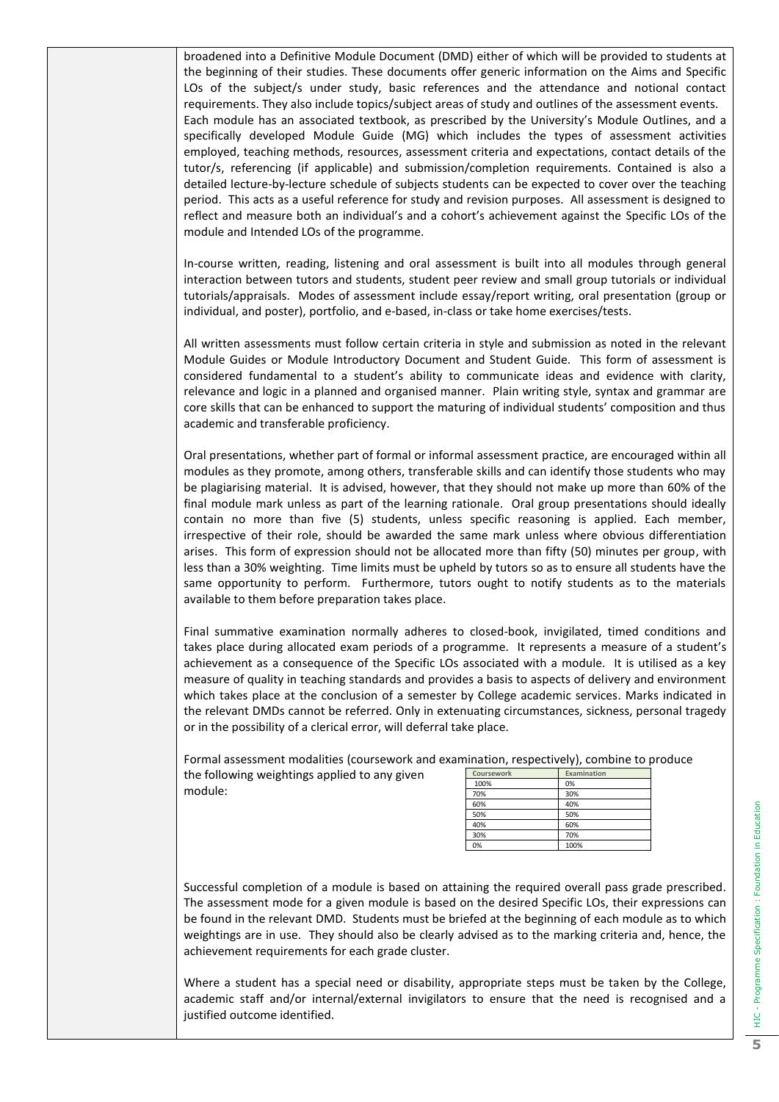broadened into a Definitive Module Document (DMD) either of which will be provided to students at the beginning of their studies. These documents offer generic information on the Aims and Specific LOs of the subject/s under study, basic references and the attendance and notional contact requirements. They also include topics/subject areas of study and outlines of the assessment events. Each module has an associated textbook, as prescribed by the University's Module Outlines, and a specifically developed Module Guide (MG) which includes the types of assessment activities employed, teaching methods, resources, assessment criteria and expectations, contact details of the tutor/s, referencing (if applicable) and submission/completion requirements. Contained is also a detailed lecture-by-lecture schedule of subjects students can be expected to cover over the teaching period. This acts as a useful reference for study and revision purposes. All assessment is designed to reflect and measure both an individual's and a cohort's achievement against the Specific LOs of the module and Intended LOs of the programme.

In-course written, reading, listening and oral assessment is built into all modules through general interaction between tutors and students, student peer review and small group tutorials or individual tutorials/appraisals. Modes of assessment include essay/report writing, oral presentation (group or individual, and poster), portfolio, and e-based, in-class or take home exercises/tests.

All written assessments must follow certain criteria in style and submission as noted in the relevant Module Guides or Module Introductory Document and Student Guide. This form of assessment is considered fundamental to a student's ability to communicate ideas and evidence with clarity, relevance and logic in a planned and organised manner. Plain writing style, syntax and grammar are core skills that can be enhanced to support the maturing of individual students' composition and thus academic and transferable proficiency.

Oral presentations, whether part of formal or informal assessment practice, are encouraged within all modules as they promote, among others, transferable skills and can identify those students who may be plagiarising material. It is advised, however, that they should not make up more than 60% of the final module mark unless as part of the learning rationale. Oral group presentations should ideally contain no more than five (5) students, unless specific reasoning is applied. Each member, irrespective of their role, should be awarded the same mark unless where obvious differentiation arises. This form of expression should not be allocated more than fifty (50) minutes per group, with less than a 30% weighting. Time limits must be upheld by tutors so as to ensure all students have the same opportunity to perform. Furthermore, tutors ought to notify students as to the materials available to them before preparation takes place.

Final summative examination normally adheres to closed-book, invigilated, timed conditions and takes place during allocated exam periods of a programme. It represents a measure of a student's achievement as a consequence of the Specific LOs associated with a module. It is utilised as a key measure of quality in teaching standards and provides a basis to aspects of delivery and environment which takes place at the conclusion of a semester by College academic services. Marks indicated in the relevant DMDs cannot be referred. Only in extenuating circumstances, sickness, personal tragedy or in the possibility of a clerical error, will deferral take place.

Formal assessment modalities (coursework and examination, respectively), combine to produce

the following weightings applied to any given module:

|            | .           |
|------------|-------------|
| Coursework | Examination |
| 100%       | 0%          |
| 70%        | 30%         |
| 60%        | 40%         |
| 50%        | 50%         |
| 40%        | 60%         |
| 30%        | 70%         |
| 0%         | 100%        |

Successful completion of a module is based on attaining the required overall pass grade prescribed. The assessment mode for a given module is based on the desired Specific LOs, their expressions can be found in the relevant DMD. Students must be briefed at the beginning of each module as to which weightings are in use. They should also be clearly advised as to the marking criteria and, hence, the achievement requirements for each grade cluster.

Where a student has a special need or disability, appropriate steps must be taken by the College, academic staff and/or internal/external invigilators to ensure that the need is recognised and a justified outcome identified.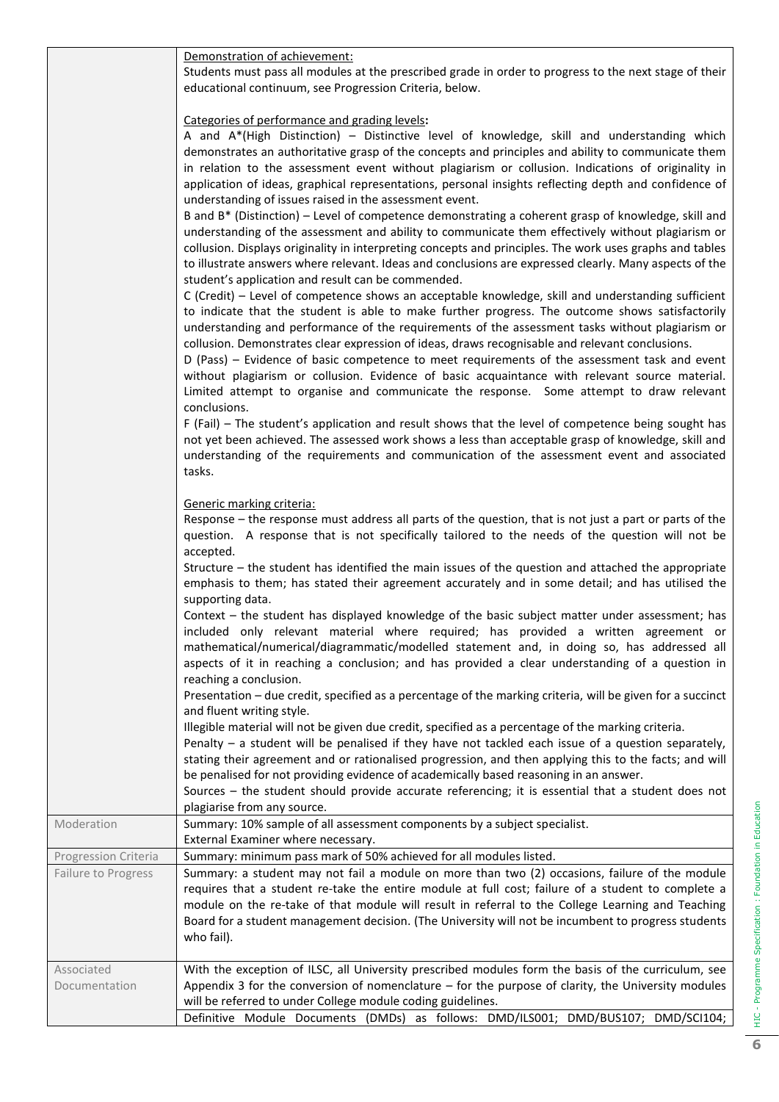|                      | Demonstration of achievement:                                                                                                                                                                                               |
|----------------------|-----------------------------------------------------------------------------------------------------------------------------------------------------------------------------------------------------------------------------|
|                      | Students must pass all modules at the prescribed grade in order to progress to the next stage of their<br>educational continuum, see Progression Criteria, below.                                                           |
|                      |                                                                                                                                                                                                                             |
|                      | Categories of performance and grading levels:                                                                                                                                                                               |
|                      | A and A*(High Distinction) - Distinctive level of knowledge, skill and understanding which<br>demonstrates an authoritative grasp of the concepts and principles and ability to communicate them                            |
|                      | in relation to the assessment event without plagiarism or collusion. Indications of originality in                                                                                                                          |
|                      | application of ideas, graphical representations, personal insights reflecting depth and confidence of                                                                                                                       |
|                      | understanding of issues raised in the assessment event.                                                                                                                                                                     |
|                      | B and B* (Distinction) – Level of competence demonstrating a coherent grasp of knowledge, skill and                                                                                                                         |
|                      | understanding of the assessment and ability to communicate them effectively without plagiarism or<br>collusion. Displays originality in interpreting concepts and principles. The work uses graphs and tables               |
|                      | to illustrate answers where relevant. Ideas and conclusions are expressed clearly. Many aspects of the                                                                                                                      |
|                      | student's application and result can be commended.                                                                                                                                                                          |
|                      | C (Credit) - Level of competence shows an acceptable knowledge, skill and understanding sufficient                                                                                                                          |
|                      | to indicate that the student is able to make further progress. The outcome shows satisfactorily<br>understanding and performance of the requirements of the assessment tasks without plagiarism or                          |
|                      | collusion. Demonstrates clear expression of ideas, draws recognisable and relevant conclusions.                                                                                                                             |
|                      | D (Pass) - Evidence of basic competence to meet requirements of the assessment task and event                                                                                                                               |
|                      | without plagiarism or collusion. Evidence of basic acquaintance with relevant source material.                                                                                                                              |
|                      | Limited attempt to organise and communicate the response. Some attempt to draw relevant                                                                                                                                     |
|                      | conclusions.                                                                                                                                                                                                                |
|                      | F (Fail) – The student's application and result shows that the level of competence being sought has                                                                                                                         |
|                      | not yet been achieved. The assessed work shows a less than acceptable grasp of knowledge, skill and                                                                                                                         |
|                      | understanding of the requirements and communication of the assessment event and associated                                                                                                                                  |
|                      | tasks.                                                                                                                                                                                                                      |
|                      | Generic marking criteria:                                                                                                                                                                                                   |
|                      | Response – the response must address all parts of the question, that is not just a part or parts of the                                                                                                                     |
|                      | question. A response that is not specifically tailored to the needs of the question will not be<br>accepted.                                                                                                                |
|                      | Structure - the student has identified the main issues of the question and attached the appropriate<br>emphasis to them; has stated their agreement accurately and in some detail; and has utilised the<br>supporting data. |
|                      | Context - the student has displayed knowledge of the basic subject matter under assessment; has                                                                                                                             |
|                      | included only relevant material where required; has provided a written agreement or                                                                                                                                         |
|                      | mathematical/numerical/diagrammatic/modelled statement and, in doing so, has addressed all<br>aspects of it in reaching a conclusion; and has provided a clear understanding of a question in                               |
|                      | reaching a conclusion.<br>Presentation - due credit, specified as a percentage of the marking criteria, will be given for a succinct                                                                                        |
|                      | and fluent writing style.                                                                                                                                                                                                   |
|                      | Illegible material will not be given due credit, specified as a percentage of the marking criteria.                                                                                                                         |
|                      | Penalty - a student will be penalised if they have not tackled each issue of a question separately,                                                                                                                         |
|                      | stating their agreement and or rationalised progression, and then applying this to the facts; and will                                                                                                                      |
|                      | be penalised for not providing evidence of academically based reasoning in an answer.                                                                                                                                       |
|                      | Sources - the student should provide accurate referencing; it is essential that a student does not                                                                                                                          |
| Moderation           | plagiarise from any source.<br>Summary: 10% sample of all assessment components by a subject specialist.                                                                                                                    |
|                      | External Examiner where necessary.                                                                                                                                                                                          |
| Progression Criteria | Summary: minimum pass mark of 50% achieved for all modules listed.                                                                                                                                                          |
| Failure to Progress  | Summary: a student may not fail a module on more than two (2) occasions, failure of the module                                                                                                                              |
|                      | requires that a student re-take the entire module at full cost; failure of a student to complete a<br>module on the re-take of that module will result in referral to the College Learning and Teaching                     |
|                      | Board for a student management decision. (The University will not be incumbent to progress students                                                                                                                         |
|                      | who fail).                                                                                                                                                                                                                  |
| Associated           | With the exception of ILSC, all University prescribed modules form the basis of the curriculum, see                                                                                                                         |
| Documentation        | Appendix 3 for the conversion of nomenclature $-$ for the purpose of clarity, the University modules                                                                                                                        |
|                      | will be referred to under College module coding guidelines.                                                                                                                                                                 |
|                      | Definitive Module Documents (DMDs) as follows: DMD/ILS001; DMD/BUS107; DMD/SCI104;                                                                                                                                          |

HIC - Programme Specification : Foundation in Education **6** HIC - Programme Specification: Foundation in Education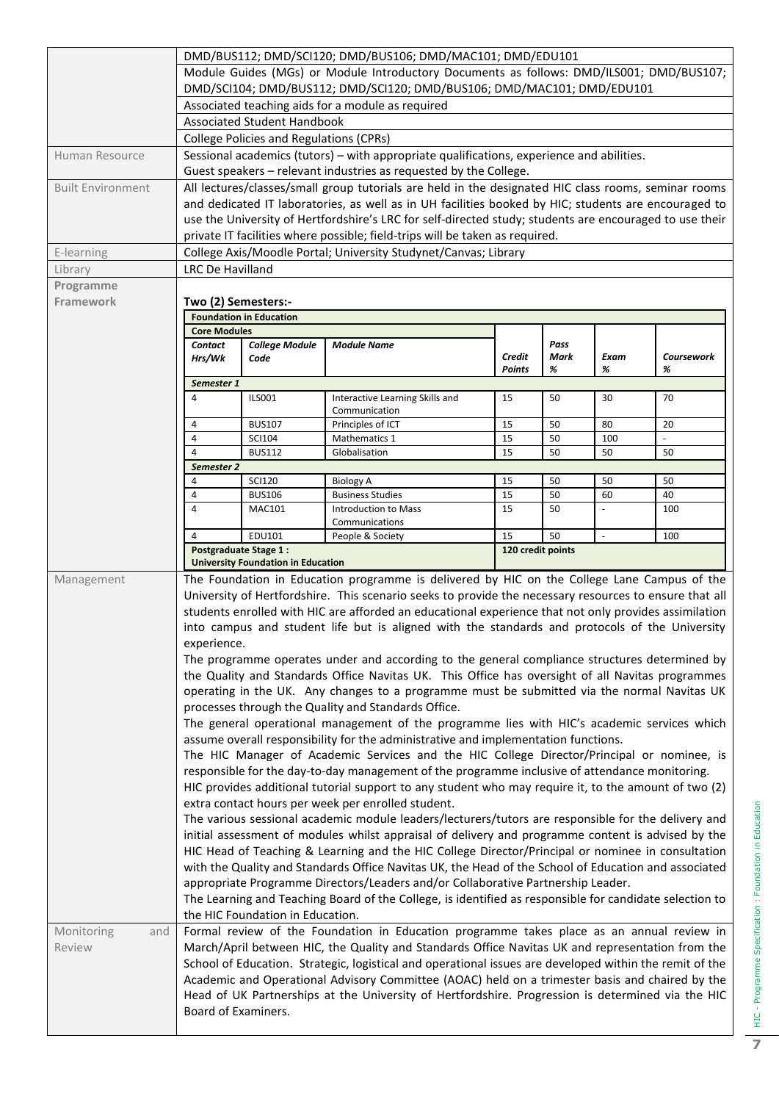|                          | DMD/BUS112; DMD/SCI120; DMD/BUS106; DMD/MAC101; DMD/EDU101                                                                  |                                                                                             |                                                                                                                                                                                                 |                  |                   |                          |                 |  |  |
|--------------------------|-----------------------------------------------------------------------------------------------------------------------------|---------------------------------------------------------------------------------------------|-------------------------------------------------------------------------------------------------------------------------------------------------------------------------------------------------|------------------|-------------------|--------------------------|-----------------|--|--|
|                          | Module Guides (MGs) or Module Introductory Documents as follows: DMD/ILS001; DMD/BUS107;                                    |                                                                                             |                                                                                                                                                                                                 |                  |                   |                          |                 |  |  |
|                          | DMD/SCI104; DMD/BUS112; DMD/SCI120; DMD/BUS106; DMD/MAC101; DMD/EDU101<br>Associated teaching aids for a module as required |                                                                                             |                                                                                                                                                                                                 |                  |                   |                          |                 |  |  |
|                          |                                                                                                                             |                                                                                             |                                                                                                                                                                                                 |                  |                   |                          |                 |  |  |
|                          |                                                                                                                             | <b>Associated Student Handbook</b><br><b>College Policies and Regulations (CPRs)</b>        |                                                                                                                                                                                                 |                  |                   |                          |                 |  |  |
| Human Resource           |                                                                                                                             |                                                                                             | Sessional academics (tutors) - with appropriate qualifications, experience and abilities.                                                                                                       |                  |                   |                          |                 |  |  |
|                          |                                                                                                                             |                                                                                             | Guest speakers - relevant industries as requested by the College.                                                                                                                               |                  |                   |                          |                 |  |  |
| <b>Built Environment</b> |                                                                                                                             |                                                                                             | All lectures/classes/small group tutorials are held in the designated HIC class rooms, seminar rooms                                                                                            |                  |                   |                          |                 |  |  |
|                          |                                                                                                                             |                                                                                             | and dedicated IT laboratories, as well as in UH facilities booked by HIC; students are encouraged to                                                                                            |                  |                   |                          |                 |  |  |
|                          |                                                                                                                             |                                                                                             | use the University of Hertfordshire's LRC for self-directed study; students are encouraged to use their<br>private IT facilities where possible; field-trips will be taken as required.         |                  |                   |                          |                 |  |  |
| E-learning               |                                                                                                                             |                                                                                             | College Axis/Moodle Portal; University Studynet/Canvas; Library                                                                                                                                 |                  |                   |                          |                 |  |  |
| Library                  | <b>LRC De Havilland</b>                                                                                                     |                                                                                             |                                                                                                                                                                                                 |                  |                   |                          |                 |  |  |
| Programme                |                                                                                                                             |                                                                                             |                                                                                                                                                                                                 |                  |                   |                          |                 |  |  |
| <b>Framework</b>         | Two (2) Semesters:-                                                                                                         |                                                                                             |                                                                                                                                                                                                 |                  |                   |                          |                 |  |  |
|                          |                                                                                                                             | <b>Foundation in Education</b>                                                              |                                                                                                                                                                                                 |                  |                   |                          |                 |  |  |
|                          | <b>Core Modules</b>                                                                                                         |                                                                                             |                                                                                                                                                                                                 |                  |                   |                          |                 |  |  |
|                          | <b>Contact</b>                                                                                                              | <b>College Module</b>                                                                       | <b>Module Name</b>                                                                                                                                                                              |                  | Pass              |                          |                 |  |  |
|                          | Hrs/Wk                                                                                                                      | Code                                                                                        |                                                                                                                                                                                                 | Credit<br>Points | Mark<br>%         | Exam<br>%                | Coursework<br>% |  |  |
|                          | Semester 1                                                                                                                  |                                                                                             |                                                                                                                                                                                                 |                  |                   |                          |                 |  |  |
|                          | 4                                                                                                                           | <b>ILS001</b>                                                                               | Interactive Learning Skills and                                                                                                                                                                 | 15               | 50                | 30                       | 70              |  |  |
|                          |                                                                                                                             |                                                                                             | Communication                                                                                                                                                                                   |                  |                   |                          |                 |  |  |
|                          | 4                                                                                                                           | <b>BUS107</b>                                                                               | Principles of ICT                                                                                                                                                                               | 15               | 50                | 80                       | 20              |  |  |
|                          | $\overline{4}$<br>4                                                                                                         | <b>SCI104</b><br><b>BUS112</b>                                                              | <b>Mathematics 1</b><br>Globalisation                                                                                                                                                           | 15<br>15         | 50<br>50          | 100<br>50                | 50              |  |  |
|                          | Semester 2                                                                                                                  |                                                                                             |                                                                                                                                                                                                 |                  |                   |                          |                 |  |  |
|                          | 4                                                                                                                           | <b>SCI120</b>                                                                               | <b>Biology A</b>                                                                                                                                                                                | 15               | 50                | 50                       | 50              |  |  |
|                          | 4                                                                                                                           | <b>BUS106</b>                                                                               | <b>Business Studies</b>                                                                                                                                                                         | 15               | 50                | 60                       | 40              |  |  |
|                          | 4                                                                                                                           | MAC101                                                                                      | <b>Introduction to Mass</b>                                                                                                                                                                     | 15               | 50                |                          | 100             |  |  |
|                          | 4                                                                                                                           | EDU101                                                                                      | Communications<br>People & Society                                                                                                                                                              | 15               | 50                | $\overline{\phantom{a}}$ | 100             |  |  |
|                          |                                                                                                                             | <b>Postgraduate Stage 1:</b>                                                                |                                                                                                                                                                                                 |                  | 120 credit points |                          |                 |  |  |
|                          |                                                                                                                             | <b>University Foundation in Education</b>                                                   |                                                                                                                                                                                                 |                  |                   |                          |                 |  |  |
| Management               |                                                                                                                             | The Foundation in Education programme is delivered by HIC on the College Lane Campus of the |                                                                                                                                                                                                 |                  |                   |                          |                 |  |  |
|                          |                                                                                                                             |                                                                                             | University of Hertfordshire. This scenario seeks to provide the necessary resources to ensure that all                                                                                          |                  |                   |                          |                 |  |  |
|                          |                                                                                                                             |                                                                                             | students enrolled with HIC are afforded an educational experience that not only provides assimilation                                                                                           |                  |                   |                          |                 |  |  |
|                          |                                                                                                                             |                                                                                             | into campus and student life but is aligned with the standards and protocols of the University                                                                                                  |                  |                   |                          |                 |  |  |
|                          | experience.                                                                                                                 |                                                                                             |                                                                                                                                                                                                 |                  |                   |                          |                 |  |  |
|                          |                                                                                                                             |                                                                                             | The programme operates under and according to the general compliance structures determined by                                                                                                   |                  |                   |                          |                 |  |  |
|                          |                                                                                                                             |                                                                                             | the Quality and Standards Office Navitas UK. This Office has oversight of all Navitas programmes<br>operating in the UK. Any changes to a programme must be submitted via the normal Navitas UK |                  |                   |                          |                 |  |  |
|                          |                                                                                                                             |                                                                                             | processes through the Quality and Standards Office.                                                                                                                                             |                  |                   |                          |                 |  |  |
|                          |                                                                                                                             |                                                                                             | The general operational management of the programme lies with HIC's academic services which                                                                                                     |                  |                   |                          |                 |  |  |
|                          |                                                                                                                             |                                                                                             | assume overall responsibility for the administrative and implementation functions.                                                                                                              |                  |                   |                          |                 |  |  |
|                          |                                                                                                                             |                                                                                             | The HIC Manager of Academic Services and the HIC College Director/Principal or nominee, is                                                                                                      |                  |                   |                          |                 |  |  |
|                          |                                                                                                                             |                                                                                             | responsible for the day-to-day management of the programme inclusive of attendance monitoring.                                                                                                  |                  |                   |                          |                 |  |  |
|                          |                                                                                                                             |                                                                                             | HIC provides additional tutorial support to any student who may require it, to the amount of two (2)                                                                                            |                  |                   |                          |                 |  |  |
|                          |                                                                                                                             |                                                                                             | extra contact hours per week per enrolled student.                                                                                                                                              |                  |                   |                          |                 |  |  |
|                          |                                                                                                                             |                                                                                             | The various sessional academic module leaders/lecturers/tutors are responsible for the delivery and                                                                                             |                  |                   |                          |                 |  |  |
|                          |                                                                                                                             |                                                                                             | initial assessment of modules whilst appraisal of delivery and programme content is advised by the                                                                                              |                  |                   |                          |                 |  |  |
|                          | HIC Head of Teaching & Learning and the HIC College Director/Principal or nominee in consultation                           |                                                                                             |                                                                                                                                                                                                 |                  |                   |                          |                 |  |  |
|                          | with the Quality and Standards Office Navitas UK, the Head of the School of Education and associated                        |                                                                                             |                                                                                                                                                                                                 |                  |                   |                          |                 |  |  |
|                          |                                                                                                                             |                                                                                             | appropriate Programme Directors/Leaders and/or Collaborative Partnership Leader.                                                                                                                |                  |                   |                          |                 |  |  |
|                          |                                                                                                                             | the HIC Foundation in Education.                                                            | The Learning and Teaching Board of the College, is identified as responsible for candidate selection to                                                                                         |                  |                   |                          |                 |  |  |
| Monitoring<br>and        |                                                                                                                             |                                                                                             | Formal review of the Foundation in Education programme takes place as an annual review in                                                                                                       |                  |                   |                          |                 |  |  |
| Review                   |                                                                                                                             |                                                                                             | March/April between HIC, the Quality and Standards Office Navitas UK and representation from the                                                                                                |                  |                   |                          |                 |  |  |
|                          |                                                                                                                             |                                                                                             | School of Education. Strategic, logistical and operational issues are developed within the remit of the                                                                                         |                  |                   |                          |                 |  |  |
|                          |                                                                                                                             |                                                                                             | Academic and Operational Advisory Committee (AOAC) held on a trimester basis and chaired by the                                                                                                 |                  |                   |                          |                 |  |  |
|                          |                                                                                                                             |                                                                                             | Head of UK Partnerships at the University of Hertfordshire. Progression is determined via the HIC                                                                                               |                  |                   |                          |                 |  |  |
|                          | Board of Examiners.                                                                                                         |                                                                                             |                                                                                                                                                                                                 |                  |                   |                          |                 |  |  |
|                          |                                                                                                                             |                                                                                             |                                                                                                                                                                                                 |                  |                   |                          |                 |  |  |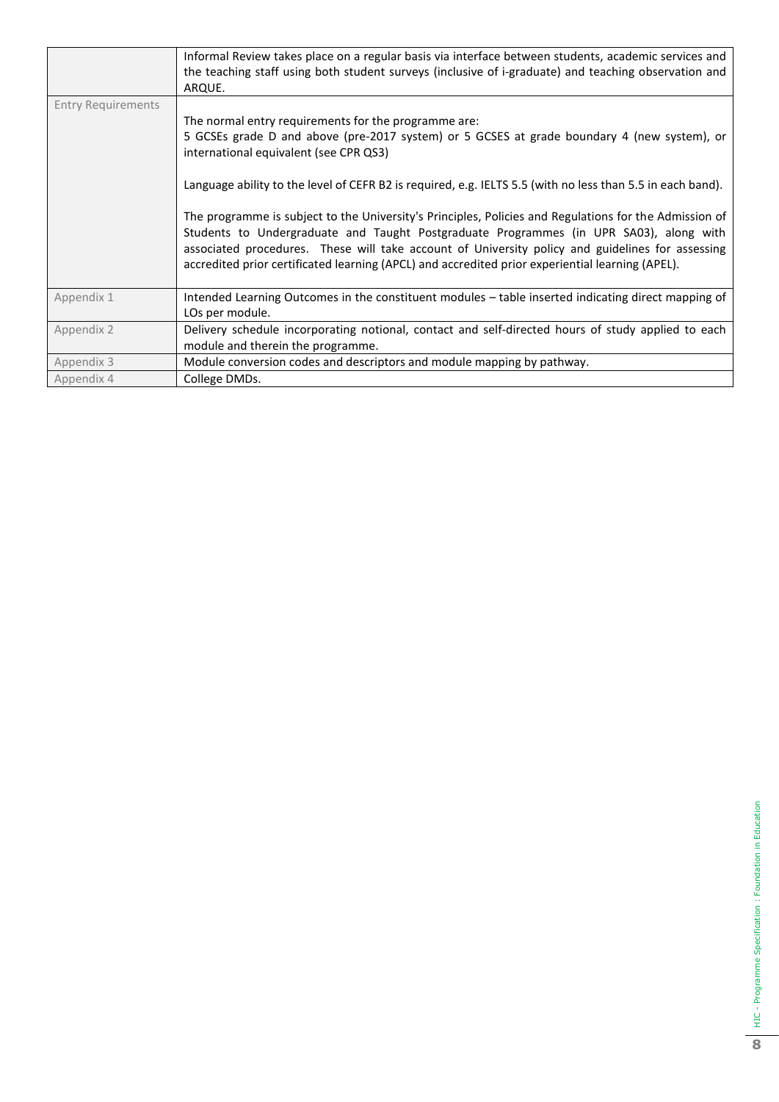|                           | Informal Review takes place on a regular basis via interface between students, academic services and<br>the teaching staff using both student surveys (inclusive of i-graduate) and teaching observation and<br>ARQUE.                                                                                                                                                                                   |
|---------------------------|----------------------------------------------------------------------------------------------------------------------------------------------------------------------------------------------------------------------------------------------------------------------------------------------------------------------------------------------------------------------------------------------------------|
| <b>Entry Requirements</b> |                                                                                                                                                                                                                                                                                                                                                                                                          |
|                           | The normal entry requirements for the programme are:                                                                                                                                                                                                                                                                                                                                                     |
|                           | 5 GCSEs grade D and above (pre-2017 system) or 5 GCSES at grade boundary 4 (new system), or<br>international equivalent (see CPR QS3)                                                                                                                                                                                                                                                                    |
|                           | Language ability to the level of CEFR B2 is required, e.g. IELTS 5.5 (with no less than 5.5 in each band).                                                                                                                                                                                                                                                                                               |
|                           | The programme is subject to the University's Principles, Policies and Regulations for the Admission of<br>Students to Undergraduate and Taught Postgraduate Programmes (in UPR SA03), along with<br>associated procedures. These will take account of University policy and guidelines for assessing<br>accredited prior certificated learning (APCL) and accredited prior experiential learning (APEL). |
| Appendix 1                | Intended Learning Outcomes in the constituent modules - table inserted indicating direct mapping of<br>LOs per module.                                                                                                                                                                                                                                                                                   |
| Appendix 2                | Delivery schedule incorporating notional, contact and self-directed hours of study applied to each                                                                                                                                                                                                                                                                                                       |
|                           | module and therein the programme.                                                                                                                                                                                                                                                                                                                                                                        |
| Appendix 3                | Module conversion codes and descriptors and module mapping by pathway.                                                                                                                                                                                                                                                                                                                                   |
| Appendix 4                | College DMDs.                                                                                                                                                                                                                                                                                                                                                                                            |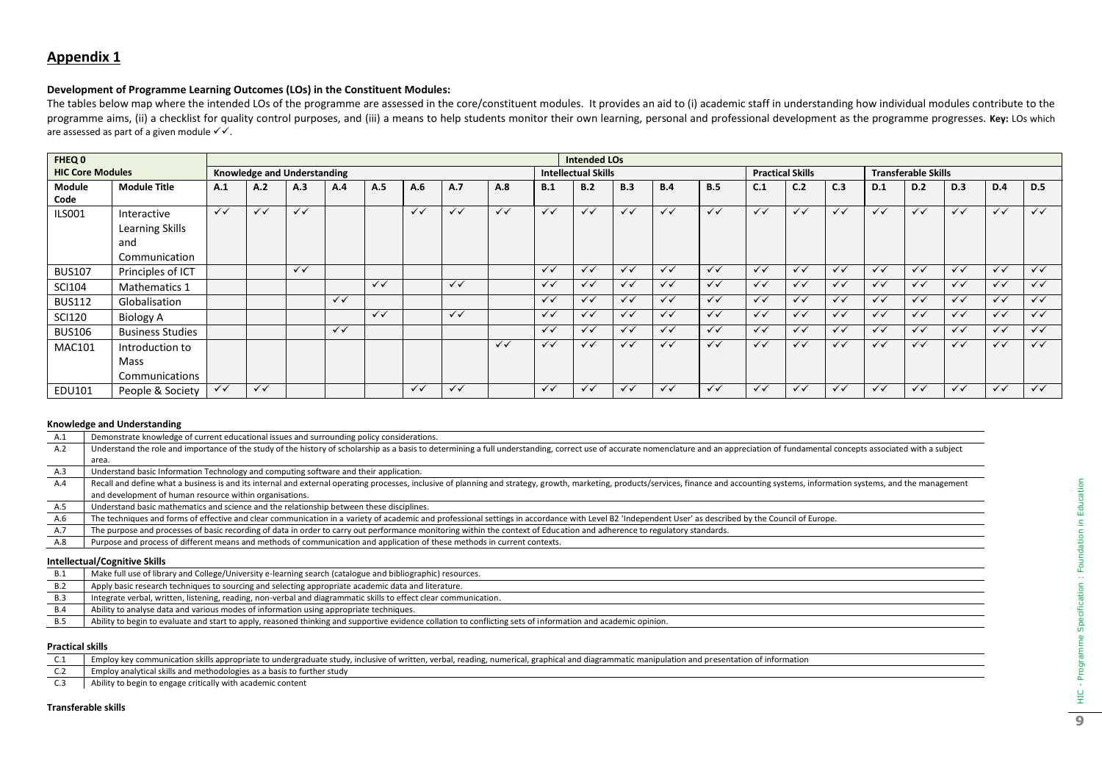# **Appendix 1**

### **Development of Programme Learning Outcomes (LOs) in the Constituent Modules:**

The tables below map where the intended LOs of the programme are assessed in the core/constituent modules. It provides an aid to (i) academic staff in understanding how individual modules contribute to the programme aims, (ii) a checklist for quality control purposes, and (iii) a means to help students monitor their own learning, personal and professional development as the programme progresses. Key: LOs which are assessed as part of a given module  $\checkmark\checkmark$ .

| FHEQ 0                  |                                |              |                                    |              |              |              |              |              |              |              | <b>Intended LOs</b> |                            |              |              |              |                                                       |                |              |              |              |              |              |
|-------------------------|--------------------------------|--------------|------------------------------------|--------------|--------------|--------------|--------------|--------------|--------------|--------------|---------------------|----------------------------|--------------|--------------|--------------|-------------------------------------------------------|----------------|--------------|--------------|--------------|--------------|--------------|
| <b>HIC Core Modules</b> |                                |              | <b>Knowledge and Understanding</b> |              |              |              |              |              |              |              |                     | <b>Intellectual Skills</b> |              |              |              | <b>Practical Skills</b><br><b>Transferable Skills</b> |                |              |              |              |              |              |
| Module<br>Code          | <b>Module Title</b>            | A.1          | A.2                                | A.3          | A.4          | A.5          | A.6          | A.7          | A.8          | B.1          | B.2                 | B.3                        | B.4          | B.5          | C.1          | C.2                                                   | C <sub>3</sub> | D.1          | D.2          | D.3          | D.4          | <b>D.5</b>   |
| <b>ILS001</b>           | Interactive<br>Learning Skills | $\checkmark$ | $\checkmark$                       | $\checkmark$ |              |              | $\checkmark$ | $\checkmark$ | $\checkmark$ | $\checkmark$ | $\checkmark$        | $\checkmark$               | $\checkmark$ | $\checkmark$ | $\checkmark$ | $\checkmark$                                          | $\checkmark$   | $\checkmark$ | $\checkmark$ | $\checkmark$ | $\checkmark$ | $\checkmark$ |
|                         | and<br>Communication           |              |                                    |              |              |              |              |              |              |              |                     |                            |              |              |              |                                                       |                |              |              |              |              |              |
| <b>BUS107</b>           | Principles of ICT              |              |                                    | $\checkmark$ |              |              |              |              |              | $\checkmark$ | $\checkmark$        | $\checkmark$               | $\checkmark$ | $\checkmark$ | $\checkmark$ | $\checkmark$                                          | $\checkmark$   | $\checkmark$ | $\checkmark$ | $\checkmark$ | $\checkmark$ | $\checkmark$ |
| <b>SCI104</b>           | Mathematics 1                  |              |                                    |              |              | $\checkmark$ |              | $\checkmark$ |              | $\checkmark$ | $\checkmark$        | $\checkmark$               | $\checkmark$ | $\checkmark$ | $\checkmark$ | $\checkmark$                                          | $\checkmark$   | $\checkmark$ | $\checkmark$ | $\checkmark$ | $\checkmark$ | $\checkmark$ |
| <b>BUS112</b>           | Globalisation                  |              |                                    |              | $\checkmark$ |              |              |              |              | $\checkmark$ | $\checkmark$        | $\checkmark$               | $\checkmark$ | $\checkmark$ | $\checkmark$ | $\checkmark$                                          | $\checkmark$   | $\checkmark$ | $\checkmark$ | $\checkmark$ | $\checkmark$ | $\checkmark$ |
| <b>SCI120</b>           | <b>Biology A</b>               |              |                                    |              |              | $\checkmark$ |              | $\checkmark$ |              | $\checkmark$ | $\checkmark$        | $\checkmark$               | $\checkmark$ | $\checkmark$ | $\checkmark$ | $\checkmark$                                          | $\checkmark$   | $\checkmark$ | $\checkmark$ | $\checkmark$ | $\checkmark$ | $\checkmark$ |
| <b>BUS106</b>           | <b>Business Studies</b>        |              |                                    |              | $\checkmark$ |              |              |              |              | $\checkmark$ | $\checkmark$        | $\checkmark$               | $\checkmark$ | $\checkmark$ | $\checkmark$ | $\checkmark$                                          | $\checkmark$   | $\checkmark$ | $\checkmark$ | $\checkmark$ | $\checkmark$ | $\checkmark$ |
| <b>MAC101</b>           | Introduction to                |              |                                    |              |              |              |              |              | $\checkmark$ | $\checkmark$ | $\checkmark$        | $\checkmark$               | $\checkmark$ | $\checkmark$ | $\checkmark$ | $\checkmark$                                          | $\checkmark$   | $\checkmark$ | $\checkmark$ | $\checkmark$ | $\checkmark$ | $\checkmark$ |
|                         | Mass<br>Communications         |              |                                    |              |              |              |              |              |              |              |                     |                            |              |              |              |                                                       |                |              |              |              |              |              |
| EDU101                  | People & Society               | $\checkmark$ | $\checkmark$                       |              |              |              | $\checkmark$ | $\checkmark$ |              | $\checkmark$ | $\checkmark$        | $\checkmark$               | $\checkmark$ | $\checkmark$ | $\checkmark$ | $\checkmark$                                          | $\checkmark$   | $\checkmark$ | $\checkmark$ | $\checkmark$ | $\checkmark$ | $\checkmark$ |

#### **Knowledge and Understanding**

| A.1 | Demonstrate knowledge of current educational issues and surrounding policy considerations.                                                                                                                                     |
|-----|--------------------------------------------------------------------------------------------------------------------------------------------------------------------------------------------------------------------------------|
| A.2 | Understand the role and importance of the study of the history of scholarship as a basis to determining a full understanding, correct use of accurate nomenclature and an appreciation of fundamental concepts associated with |
|     | area.                                                                                                                                                                                                                          |
| A.3 | Understand basic Information Technology and computing software and their application.                                                                                                                                          |
| A.4 | Recall and define what a business is and its internal and external operating processes, inclusive of planning and strategy, growth, marketing, products/services, finance and accounting systems, information systems, and the |
|     | and development of human resource within organisations.                                                                                                                                                                        |
| A.5 | Understand basic mathematics and science and the relationship between these disciplines.                                                                                                                                       |
| A.6 | The techniques and forms of effective and clear communication in a variety of academic and professional settings in accordance with Level B2 'Independent User' as described by the Council of Europe.                         |
| A.7 | The purpose and processes of basic recording of data in order to carry out performance monitoring within the context of Education and adherence to regulatory standards.                                                       |
| A.8 | Purpose and process of different means and methods of communication and application of these methods in current contexts.                                                                                                      |
|     | Intollactual/Cognitive Chille                                                                                                                                                                                                  |

#### **Intellectual/Cognitive Skills**

|            | meneciaal, cognitive skins                                                                                                                                    |
|------------|---------------------------------------------------------------------------------------------------------------------------------------------------------------|
| B.1        | Make full use of library and College/University e-learning search (catalogue and bibliographic) resources.                                                    |
| B.2        | Apply basic research techniques to sourcing and selecting appropriate academic data and literature.                                                           |
| <b>B.3</b> | Integrate verbal, written, listening, reading, non-verbal and diagrammatic skills to effect clear communication.                                              |
| <b>B.4</b> | Ability to analyse data and various modes of information using appropriate techniques.                                                                        |
| <b>B.5</b> | Ability to begin to evaluate and start to apply, reasoned thinking and supportive evidence collation to conflicting sets of information and academic opinion. |
|            |                                                                                                                                                               |

#### **Practical skills**

| $\sim$ $\sim$<br>◡.⊥ | Employ key communication skills appropriate to undergraduate study, inclusive of written, verbal, reading, numerical, graphical and diagrammatic manipulation and presentation of information |
|----------------------|-----------------------------------------------------------------------------------------------------------------------------------------------------------------------------------------------|
| J.L                  | Employ analytical skills and methodologies as a basis to further study                                                                                                                        |
| د.ب                  | Ability to begin to engage critically with academic content                                                                                                                                   |

#### **Transferable skills**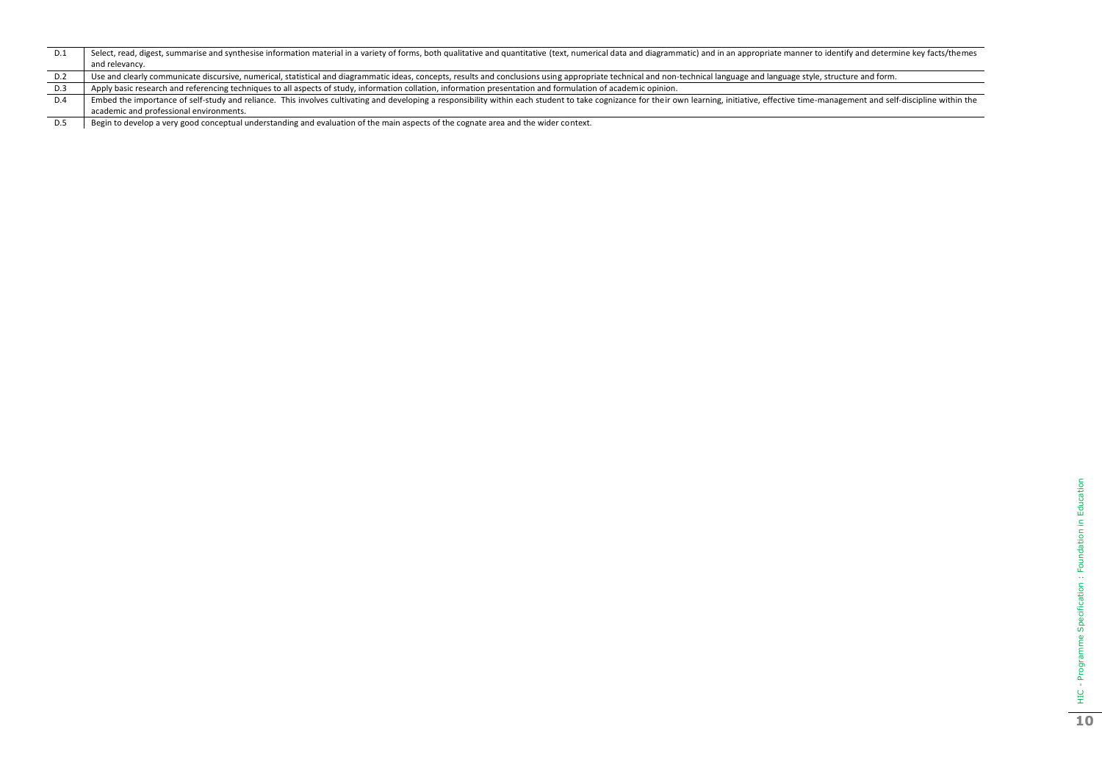| D.1 | Select, read, digest, summarise and synthesise information material in a variety of forms, both qualitative and quantitative (text, numerical data and diagrammatic) and in an appropriate manner to identify and determine ke |
|-----|--------------------------------------------------------------------------------------------------------------------------------------------------------------------------------------------------------------------------------|
|     | and relevancy.                                                                                                                                                                                                                 |
| D.2 | Use and clearly communicate discursive, numerical, statistical and diagrammatic ideas, concepts, results and conclusions using appropriate technical and non-technical language and language style, structure and form.        |
| D.3 | Apply basic research and referencing techniques to all aspects of study, information collation, information presentation and formulation of academic opinion.                                                                  |
| D.4 | Embed the importance of self-study and reliance. This involves cultivating and developing a responsibility within each student to take cognizance for their own learning, initiative, effective time-management and self-disci |
|     | academic and professional environments.                                                                                                                                                                                        |

D.5 Begin to develop a very good conceptual understanding and evaluation of the main aspects of the cognate area and the wider context.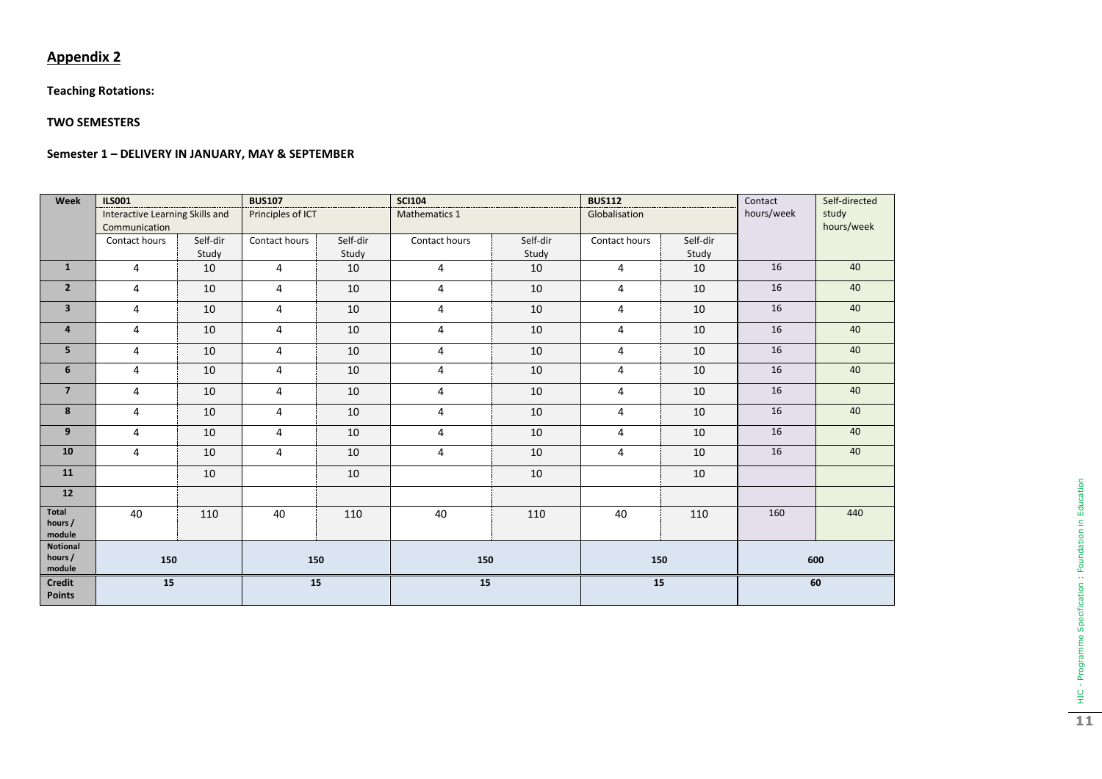# **Appendix 2**

# **Teaching Rotations:**

## **TWO SEMESTERS**

## **Semester 1 – DELIVERY IN JANUARY, MAY & SEPTEMBER**

| Week                           | <b>ILS001</b>                                    |                   | <b>BUS107</b>     |                   | <b>SCI104</b>  |                   | <b>BUS112</b> |                   | Self-directed<br>Contact<br>hours/week<br>study<br>hours/week |     |
|--------------------------------|--------------------------------------------------|-------------------|-------------------|-------------------|----------------|-------------------|---------------|-------------------|---------------------------------------------------------------|-----|
|                                | Interactive Learning Skills and<br>Communication |                   | Principles of ICT |                   | Mathematics 1  |                   | Globalisation |                   |                                                               |     |
|                                | Contact hours                                    | Self-dir<br>Study | Contact hours     | Self-dir<br>Study | Contact hours  | Self-dir<br>Study | Contact hours | Self-dir<br>Study |                                                               |     |
| $\mathbf{1}$                   | $\overline{4}$                                   | 10                | 4                 | 10                | 4              | 10                | 4             | 10                | 16                                                            | 40  |
| $\overline{2}$                 | $\overline{4}$                                   | 10                | $\overline{4}$    | 10                | $\overline{4}$ | 10                | 4             | 10                | 16                                                            | 40  |
| $\overline{\mathbf{3}}$        | $\overline{4}$                                   | 10                | $\overline{4}$    | 10                | 4              | 10                | 4             | 10                | 16                                                            | 40  |
| 4                              | 4                                                | 10                | 4                 | 10                | 4              | 10                | 4             | 10                | 16                                                            | 40  |
| 5                              | 4                                                | 10                | 4                 | 10                | 4              | 10                | 4             | 10                | 16                                                            | 40  |
| 6                              | 4                                                | 10                | 4                 | 10                | 4              | 10                | 4             | 10                | 16                                                            | 40  |
| $\overline{7}$                 | $\overline{4}$                                   | 10                | 4                 | 10                | 4              | 10                | 4             | 10                | 16                                                            | 40  |
| 8                              | $\overline{4}$                                   | 10                | $\overline{4}$    | 10                | 4              | 10                | 4             | 10                | 16                                                            | 40  |
| 9                              | 4                                                | 10                | $\overline{4}$    | 10                | 4              | 10                | 4             | 10                | 16                                                            | 40  |
| 10                             | 4                                                | 10                | 4                 | 10                | 4              | 10                | 4             | 10                | 16                                                            | 40  |
| 11                             |                                                  | 10                |                   | 10                |                | 10                |               | 10                |                                                               |     |
| 12                             |                                                  |                   |                   |                   |                |                   |               |                   |                                                               |     |
| Total<br>hours /<br>module     | 40                                               | 110               | 40                | 110               | 40             | 110               | 40            | 110               | 160                                                           | 440 |
| Notional<br>hours /<br>module  | 150                                              |                   | 150               |                   | 150            |                   | 150           |                   | 600                                                           |     |
| <b>Credit</b><br><b>Points</b> | 15                                               |                   | 15                |                   | 15             |                   | 15            |                   | 60                                                            |     |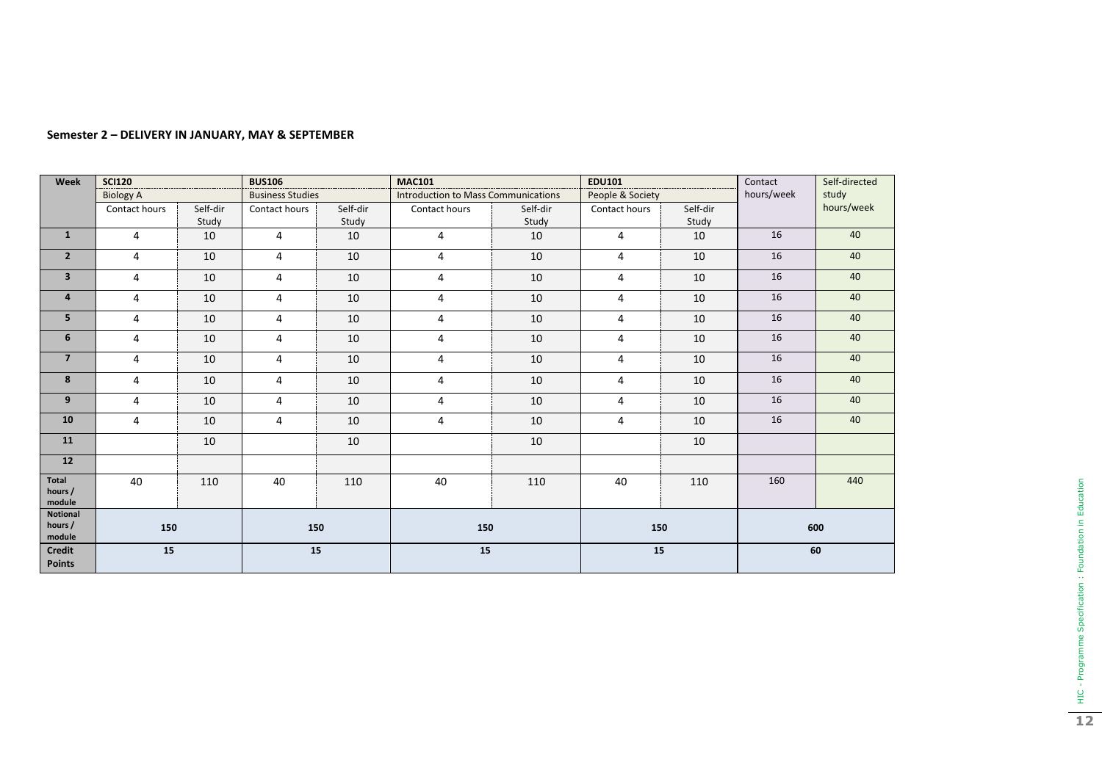| Week                           | <b>SCI120</b>    |                   | <b>BUS106</b>           |                   | <b>MAC101</b>                       |                   | <b>EDU101</b>    |                   | Contact    | Self-directed |
|--------------------------------|------------------|-------------------|-------------------------|-------------------|-------------------------------------|-------------------|------------------|-------------------|------------|---------------|
|                                | <b>Biology A</b> |                   | <b>Business Studies</b> |                   | Introduction to Mass Communications |                   | People & Society |                   | hours/week | study         |
|                                | Contact hours    | Self-dir<br>Study | Contact hours           | Self-dir<br>Study | Contact hours                       | Self-dir<br>Study | Contact hours    | Self-dir<br>Study |            | hours/week    |
| $\mathbf{1}$                   |                  |                   |                         |                   |                                     |                   |                  |                   | 16         | 40            |
|                                | 4                | 10                | 4                       | 10                | 4                                   | 10                | 4                | 10                |            |               |
| $\overline{2}$                 | 4                | 10                | 4                       | 10                | 4                                   | 10                | 4                | 10                | 16         | 40            |
| $\overline{\mathbf{3}}$        | 4                | 10                | 4                       | 10                | $\overline{4}$                      | 10                | 4                | 10                | 16         | 40            |
| $\overline{\mathbf{a}}$        | 4                | 10                | $\overline{4}$          | 10                | $\overline{4}$                      | 10                | 4                | 10                | 16         | 40            |
| 5                              | 4                | 10                | 4                       | 10                | 4                                   | 10                | 4                | 10                | 16         | 40            |
| 6                              | 4                | 10                | 4                       | 10                | 4                                   | 10                | 4                | 10                | 16         | 40            |
| $\overline{7}$                 | 4                | 10                | 4                       | 10                | 4                                   | 10                | 4                | 10                | 16         | 40            |
| 8                              | 4                | 10                | 4                       | 10                | 4                                   | 10                | $\overline{4}$   | 10                | 16         | 40            |
| 9                              | 4                | 10                | 4                       | 10                | 4                                   | 10                | 4                | 10                | 16         | 40            |
| 10                             | 4                | 10                | 4                       | 10                | $\overline{4}$                      | 10                | 4                | 10                | 16         | 40            |
| 11                             |                  | 10                |                         | 10                |                                     | 10                |                  | 10                |            |               |
| 12                             |                  |                   |                         |                   |                                     |                   |                  |                   |            |               |
| Total<br>hours /<br>module     | 40               | 110               | 40                      | 110               | 40                                  | 110               | 40               | 110               | 160        | 440           |
| Notional<br>hours /<br>module  | 150              |                   | 150                     |                   | 150                                 |                   | 150              |                   | 600        |               |
| <b>Credit</b><br><b>Points</b> | 15               |                   | 15                      |                   | 15                                  |                   | 15               |                   | 60         |               |

## **Semester 2 – DELIVERY IN JANUARY, MAY & SEPTEMBER**